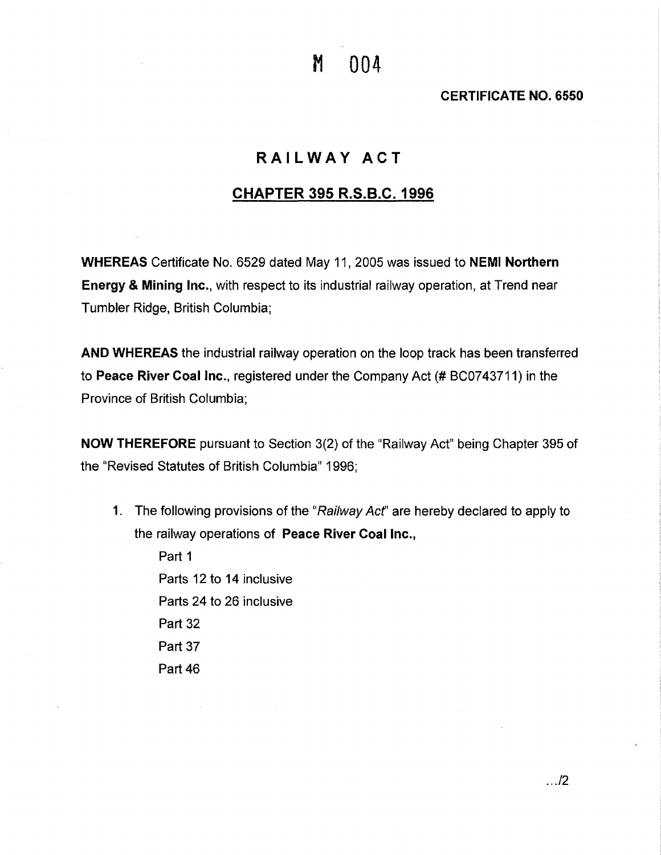M 004

**CERTIFICATE NO. 6550** 

## **RAILWAY ACT**

## **CHAPTER 395 R.S.B.C. 1996**

**WHEREAS** Certificate No. 6529 dated May 11, 2005 was issued to **NEMI Northern Energy** & **Mining Inc.,** with respect to its industrial railway operation, at Trend near Tumbler Ridge, British Columbia;

**AND WHEREAS** the industrial railway operation on the loop track has been transferred to **Peace River Coal Inc.,** registered under the Company Act(# BC0743711) in the Province of British Columbia;

**NOW THEREFORE** pursuant to Section 3(2) of the "Railway Act" being Chapter 395 of the "Revised Statutes of British Columbia" 1996;

1. The following provisions of the "Railway Act" are hereby declared to apply to the railway operations of **Peace River Coal Inc.,** 

Part 1 Parts 12 to 14 inclusive Parts 24 to 26 inclusive Part 32 Part 37 Part 46

... /2